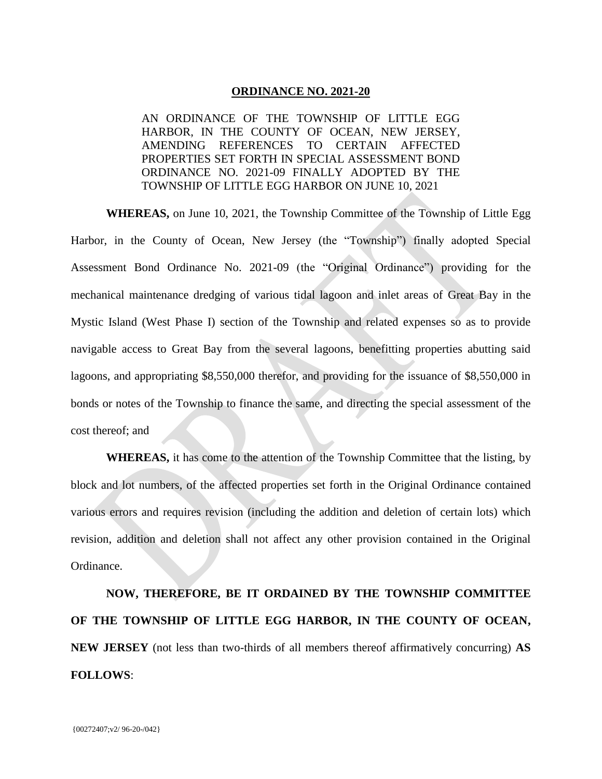## **ORDINANCE NO. 2021-20**

AN ORDINANCE OF THE TOWNSHIP OF LITTLE EGG HARBOR, IN THE COUNTY OF OCEAN, NEW JERSEY, AMENDING REFERENCES TO CERTAIN AFFECTED PROPERTIES SET FORTH IN SPECIAL ASSESSMENT BOND ORDINANCE NO. 2021-09 FINALLY ADOPTED BY THE TOWNSHIP OF LITTLE EGG HARBOR ON JUNE 10, 2021

**WHEREAS,** on June 10, 2021, the Township Committee of the Township of Little Egg Harbor, in the County of Ocean, New Jersey (the "Township") finally adopted Special Assessment Bond Ordinance No. 2021-09 (the "Original Ordinance") providing for the mechanical maintenance dredging of various tidal lagoon and inlet areas of Great Bay in the Mystic Island (West Phase I) section of the Township and related expenses so as to provide navigable access to Great Bay from the several lagoons, benefitting properties abutting said lagoons, and appropriating \$8,550,000 therefor, and providing for the issuance of \$8,550,000 in bonds or notes of the Township to finance the same, and directing the special assessment of the cost thereof; and

**WHEREAS,** it has come to the attention of the Township Committee that the listing, by block and lot numbers, of the affected properties set forth in the Original Ordinance contained various errors and requires revision (including the addition and deletion of certain lots) which revision, addition and deletion shall not affect any other provision contained in the Original Ordinance.

**NOW, THEREFORE, BE IT ORDAINED BY THE TOWNSHIP COMMITTEE OF THE TOWNSHIP OF LITTLE EGG HARBOR, IN THE COUNTY OF OCEAN, NEW JERSEY** (not less than two-thirds of all members thereof affirmatively concurring) **AS FOLLOWS**: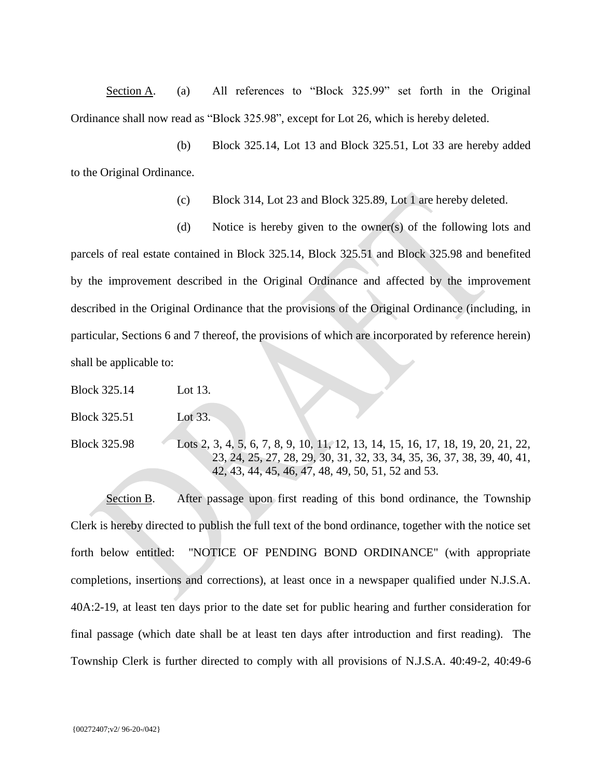Section A. (a) All references to "Block 325.99" set forth in the Original Ordinance shall now read as "Block 325.98", except for Lot 26, which is hereby deleted.

(b) Block 325.14, Lot 13 and Block 325.51, Lot 33 are hereby added to the Original Ordinance.

(c) Block 314, Lot 23 and Block 325.89, Lot 1 are hereby deleted.

(d) Notice is hereby given to the owner(s) of the following lots and parcels of real estate contained in Block 325.14, Block 325.51 and Block 325.98 and benefited by the improvement described in the Original Ordinance and affected by the improvement described in the Original Ordinance that the provisions of the Original Ordinance (including, in particular, Sections 6 and 7 thereof, the provisions of which are incorporated by reference herein) shall be applicable to:

Block 325.14 Lot 13.

Block 325.51 Lot 33.

Block 325.98 Lots 2, 3, 4, 5, 6, 7, 8, 9, 10, 11, 12, 13, 14, 15, 16, 17, 18, 19, 20, 21, 22, 23, 24, 25, 27, 28, 29, 30, 31, 32, 33, 34, 35, 36, 37, 38, 39, 40, 41, 42, 43, 44, 45, 46, 47, 48, 49, 50, 51, 52 and 53.

Section B. After passage upon first reading of this bond ordinance, the Township Clerk is hereby directed to publish the full text of the bond ordinance, together with the notice set forth below entitled: "NOTICE OF PENDING BOND ORDINANCE" (with appropriate completions, insertions and corrections), at least once in a newspaper qualified under N.J.S.A. 40A:2-19, at least ten days prior to the date set for public hearing and further consideration for final passage (which date shall be at least ten days after introduction and first reading). The Township Clerk is further directed to comply with all provisions of N.J.S.A. 40:49-2, 40:49-6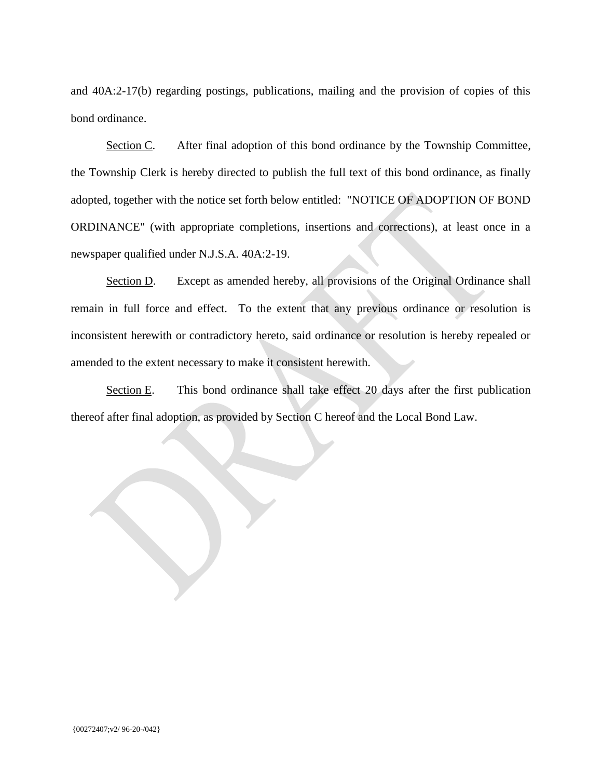and 40A:2-17(b) regarding postings, publications, mailing and the provision of copies of this bond ordinance.

Section C. After final adoption of this bond ordinance by the Township Committee, the Township Clerk is hereby directed to publish the full text of this bond ordinance, as finally adopted, together with the notice set forth below entitled: "NOTICE OF ADOPTION OF BOND ORDINANCE" (with appropriate completions, insertions and corrections), at least once in a newspaper qualified under N.J.S.A. 40A:2-19.

Section D. Except as amended hereby, all provisions of the Original Ordinance shall remain in full force and effect. To the extent that any previous ordinance or resolution is inconsistent herewith or contradictory hereto, said ordinance or resolution is hereby repealed or amended to the extent necessary to make it consistent herewith.

Section E. This bond ordinance shall take effect 20 days after the first publication thereof after final adoption, as provided by Section C hereof and the Local Bond Law.